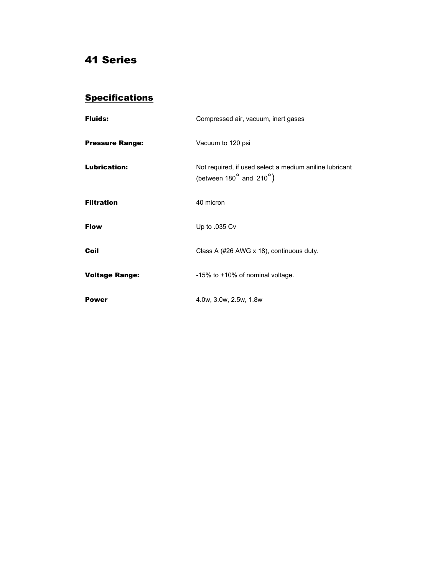## 41 Series

## **Specifications**

| <b>Fluids:</b>         | Compressed air, vacuum, inert gases                                                               |
|------------------------|---------------------------------------------------------------------------------------------------|
| <b>Pressure Range:</b> | Vacuum to 120 psi                                                                                 |
| <b>Lubrication:</b>    | Not required, if used select a medium aniline lubricant<br>(between $180^\circ$ and $210^\circ$ ) |
| <b>Filtration</b>      | 40 micron                                                                                         |
| <b>Flow</b>            | Up to .035 Cv                                                                                     |
| Coil                   | Class A (#26 AWG x 18), continuous duty.                                                          |
| <b>Voltage Range:</b>  | -15% to +10% of nominal voltage.                                                                  |
| Power                  | 4.0w, 3.0w, 2.5w, 1.8w                                                                            |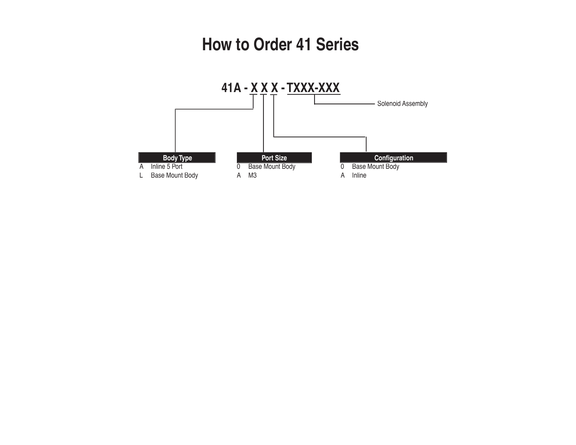## **How to Order 41 Series**

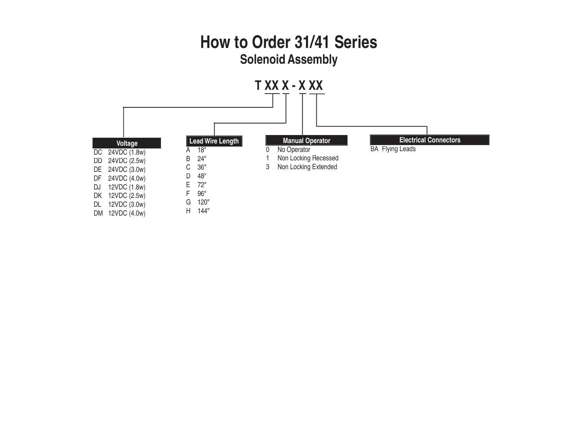## **How to Order 31/41 Series Solenoid Assembly**

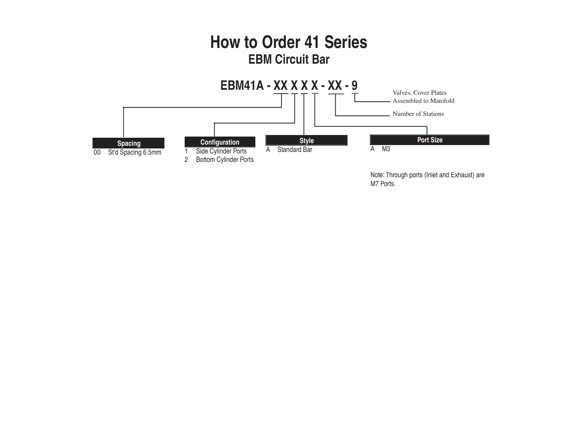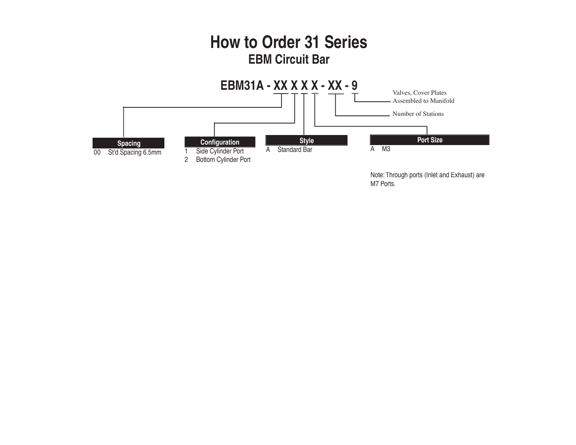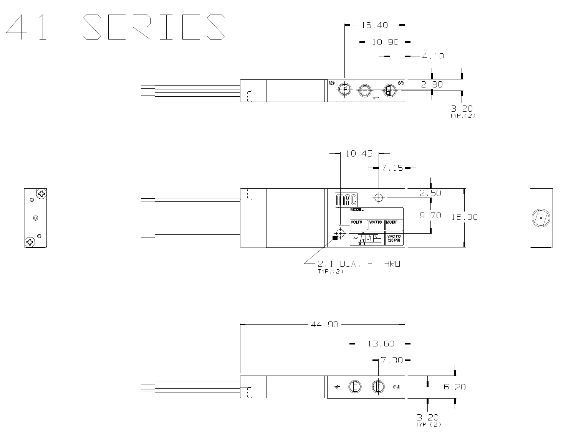



 $\circ$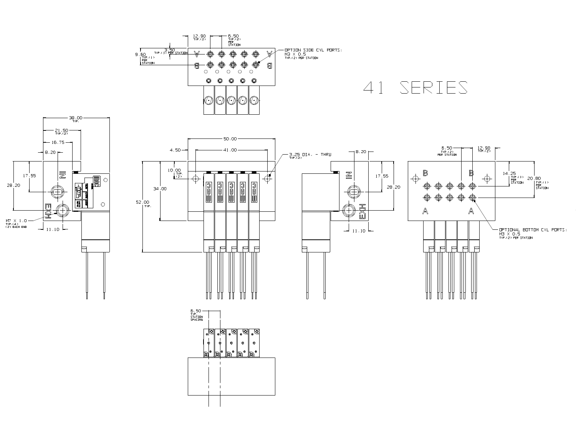